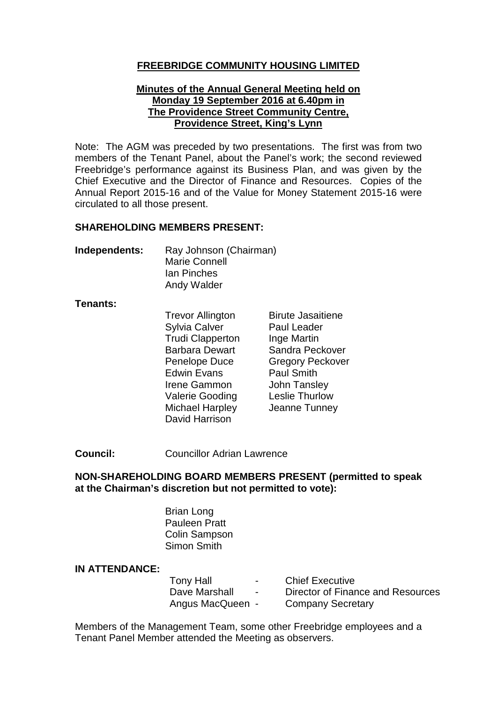### **FREEBRIDGE COMMUNITY HOUSING LIMITED**

#### **Minutes of the Annual General Meeting held on Monday 19 September 2016 at 6.40pm in The Providence Street Community Centre, Providence Street, King's Lynn**

Note: The AGM was preceded by two presentations. The first was from two members of the Tenant Panel, about the Panel's work; the second reviewed Freebridge's performance against its Business Plan, and was given by the Chief Executive and the Director of Finance and Resources. Copies of the Annual Report 2015-16 and of the Value for Money Statement 2015-16 were circulated to all those present.

#### **SHAREHOLDING MEMBERS PRESENT:**

| Independents: | Ray Johnson (Chairman) |
|---------------|------------------------|
|               | <b>Marie Connell</b>   |
|               | <b>Ian Pinches</b>     |
|               | Andy Walder            |

#### **Tenants:**

| <b>Trevor Allington</b> | <b>Birute Jasaitiene</b> |
|-------------------------|--------------------------|
| <b>Sylvia Calver</b>    | Paul Leader              |
| <b>Trudi Clapperton</b> | Inge Martin              |
| <b>Barbara Dewart</b>   | Sandra Peckover          |
| <b>Penelope Duce</b>    | <b>Gregory Peckover</b>  |
| <b>Edwin Evans</b>      | <b>Paul Smith</b>        |
| Irene Gammon            | <b>John Tansley</b>      |
| <b>Valerie Gooding</b>  | <b>Leslie Thurlow</b>    |
| <b>Michael Harpley</b>  | Jeanne Tunney            |
| David Harrison          |                          |

**Council:** Councillor Adrian Lawrence

### **NON-SHAREHOLDING BOARD MEMBERS PRESENT (permitted to speak at the Chairman's discretion but not permitted to vote):**

Brian Long Pauleen Pratt Colin Sampson Simon Smith

### **IN ATTENDANCE:**

| <b>Tony Hall</b> | $\overline{\phantom{a}}$ | <b>Chief Executive</b>            |
|------------------|--------------------------|-----------------------------------|
| Dave Marshall    | $\overline{\phantom{0}}$ | Director of Finance and Resources |
| Angus MacQueen - |                          | <b>Company Secretary</b>          |

Members of the Management Team, some other Freebridge employees and a Tenant Panel Member attended the Meeting as observers.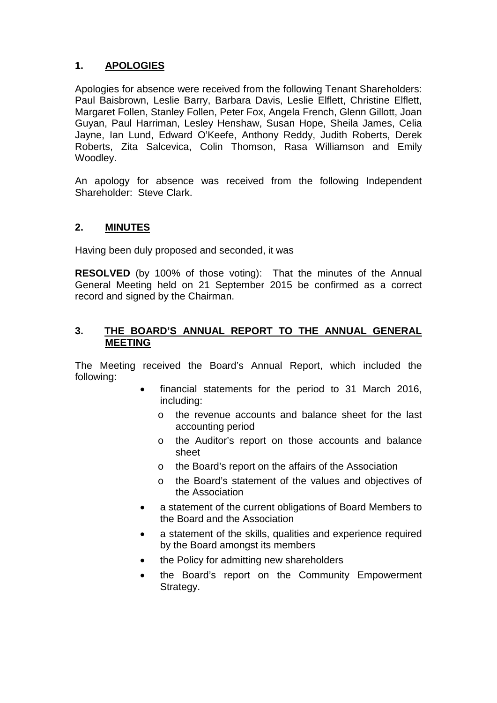# **1. APOLOGIES**

Apologies for absence were received from the following Tenant Shareholders: Paul Baisbrown, Leslie Barry, Barbara Davis, Leslie Elflett, Christine Elflett, Margaret Follen, Stanley Follen, Peter Fox, Angela French, Glenn Gillott, Joan Guyan, Paul Harriman, Lesley Henshaw, Susan Hope, Sheila James, Celia Jayne, Ian Lund, Edward O'Keefe, Anthony Reddy, Judith Roberts, Derek Roberts, Zita Salcevica, Colin Thomson, Rasa Williamson and Emily Woodley.

An apology for absence was received from the following Independent Shareholder: Steve Clark.

# **2. MINUTES**

Having been duly proposed and seconded, it was

**RESOLVED** (by 100% of those voting):That the minutes of the Annual General Meeting held on 21 September 2015 be confirmed as a correct record and signed by the Chairman.

### **3. THE BOARD'S ANNUAL REPORT TO THE ANNUAL GENERAL MEETING**

The Meeting received the Board's Annual Report, which included the following:

- financial statements for the period to 31 March 2016, including:
	- o the revenue accounts and balance sheet for the last accounting period
	- o the Auditor's report on those accounts and balance sheet
	- o the Board's report on the affairs of the Association
	- o the Board's statement of the values and objectives of the Association
- a statement of the current obligations of Board Members to the Board and the Association
- a statement of the skills, qualities and experience required by the Board amongst its members
- the Policy for admitting new shareholders
- the Board's report on the Community Empowerment Strategy.